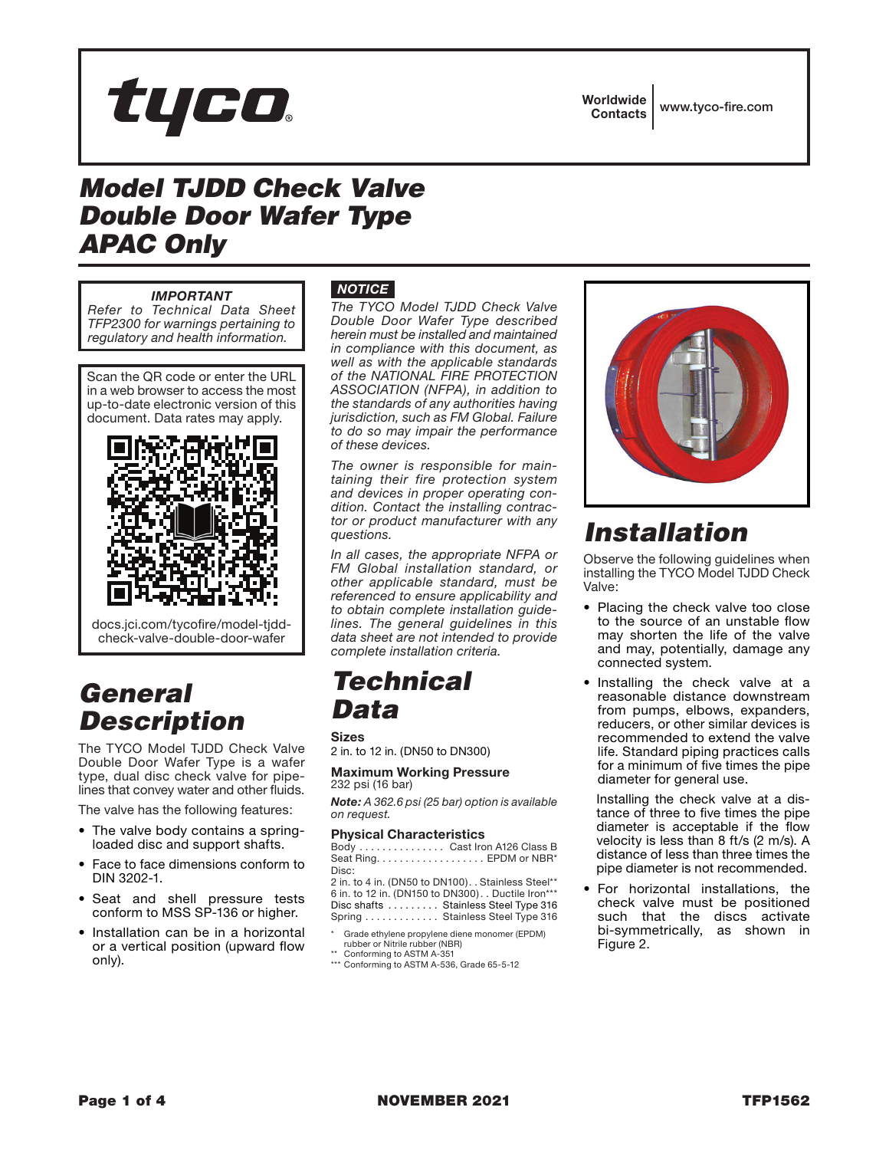

Worldwide Contacts www.tyco-fire.com

# *Model TJDD Check Valve Double Door Wafer Type APAC Only*

#### *IMPORTANT*

*Refer to Technical Data Sheet TFP2300 for warnings pertaining to regulatory and health information.*

Scan the QR code or enter the URL in a web browser to access the most up-to-date electronic version of this document. Data rates may apply.



docs.jci.com/tycofire/model-tjddcheck-valve-double-door-wafer

# *General Description*

The TYCO Model TJDD Check Valve Double Door Wafer Type is a wafer type, dual disc check valve for pipelines that convey water and other fluids.

The valve has the following features:

- The valve body contains a springloaded disc and support shafts.
- Face to face dimensions conform to DIN 3202-1.
- Seat and shell pressure tests conform to MSS SP-136 or higher.
- Installation can be in a horizontal or a vertical position (upward flow only).

### *NOTICE*

*The TYCO Model TJDD Check Valve Double Door Wafer Type described herein must be installed and maintained in compliance with this document, as well as with the applicable standards of the NATIONAL FIRE PROTECTION ASSOCIATION (NFPA), in addition to the standards of any authorities having jurisdiction, such as FM Global. Failure to do so may impair the performance of these devices.*

*The owner is responsible for maintaining their fire protection system and devices in proper operating condition. Contact the installing contractor or product manufacturer with any questions.*

*In all cases, the appropriate NFPA or FM Global installation standard, or other applicable standard, must be referenced to ensure applicability and to obtain complete installation guidelines. The general guidelines in this data sheet are not intended to provide complete installation criteria.*

## *Technical Data*

Sizes 2 in. to 12 in. (DN50 to DN300)

### Maximum Working Pressure 232 psi (16 bar)

*Note: A 362.6 psi (25 bar) option is available on request.*

#### Physical Characteristics

Body . . . . . . . . . . . . . . Cast Iron A126 Class B Seat Ring . . . . . . . . . . . . . . . . . . . EPDM or NBR\* Disc:

2 in. to 4 in. (DN50 to DN100). . Stainless Steel\*\* 6 in. to 12 in. (DN150 to DN300) . . Ductile Iron\*\*\* Disc shafts . . . . . . . . Stainless Steel Type 316 Spring............. Stainless Steel Type 316

- \* Grade ethylene propylene diene monomer (EPDM) rubber or Nitrile rubber (NBR)
- \*\* Conforming to ASTM A-351
- \*\*\* Conforming to ASTM A-536, Grade 65-5-12



# *Installation*

Observe the following guidelines when installing the TYCO Model TJDD Check Valve:

- Placing the check valve too close to the source of an unstable flow may shorten the life of the valve and may, potentially, damage any connected system.
- Installing the check valve at a reasonable distance downstream from pumps, elbows, expanders, reducers, or other similar devices is recommended to extend the valve life. Standard piping practices calls for a minimum of five times the pipe diameter for general use.

Installing the check valve at a distance of three to five times the pipe diameter is acceptable if the flow velocity is less than 8 ft/s (2 m/s). A distance of less than three times the pipe diameter is not recommended.

• For horizontal installations, the check valve must be positioned such that the discs activate bi-symmetrically, as shown in Figure 2.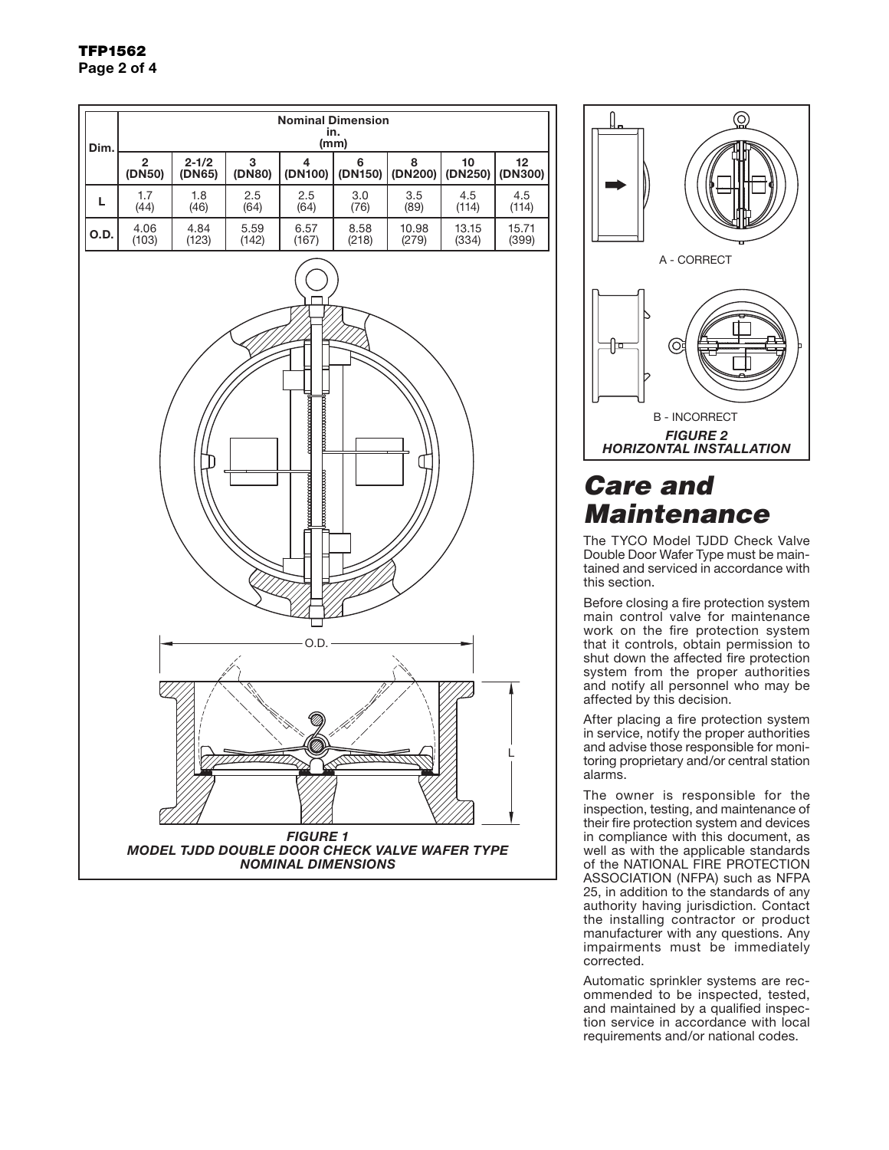



# *Care and Maintenance*

The TYCO Model TJDD Check Valve Double Door Wafer Type must be maintained and serviced in accordance with this section.

Before closing a fire protection system main control valve for maintenance work on the fire protection system that it controls, obtain permission to shut down the affected fire protection system from the proper authorities and notify all personnel who may be affected by this decision.

After placing a fire protection system in service, notify the proper authorities and advise those responsible for monitoring proprietary and/or central station alarms.

The owner is responsible for the inspection, testing, and maintenance of their fire protection system and devices in compliance with this document, as well as with the applicable standards of the NATIONAL FIRE PROTECTION ASSOCIATION (NFPA) such as NFPA 25, in addition to the standards of any authority having jurisdiction. Contact the installing contractor or product manufacturer with any questions. Any impairments must be immediately corrected.

Automatic sprinkler systems are recommended to be inspected, tested, and maintained by a qualified inspection service in accordance with local requirements and/or national codes.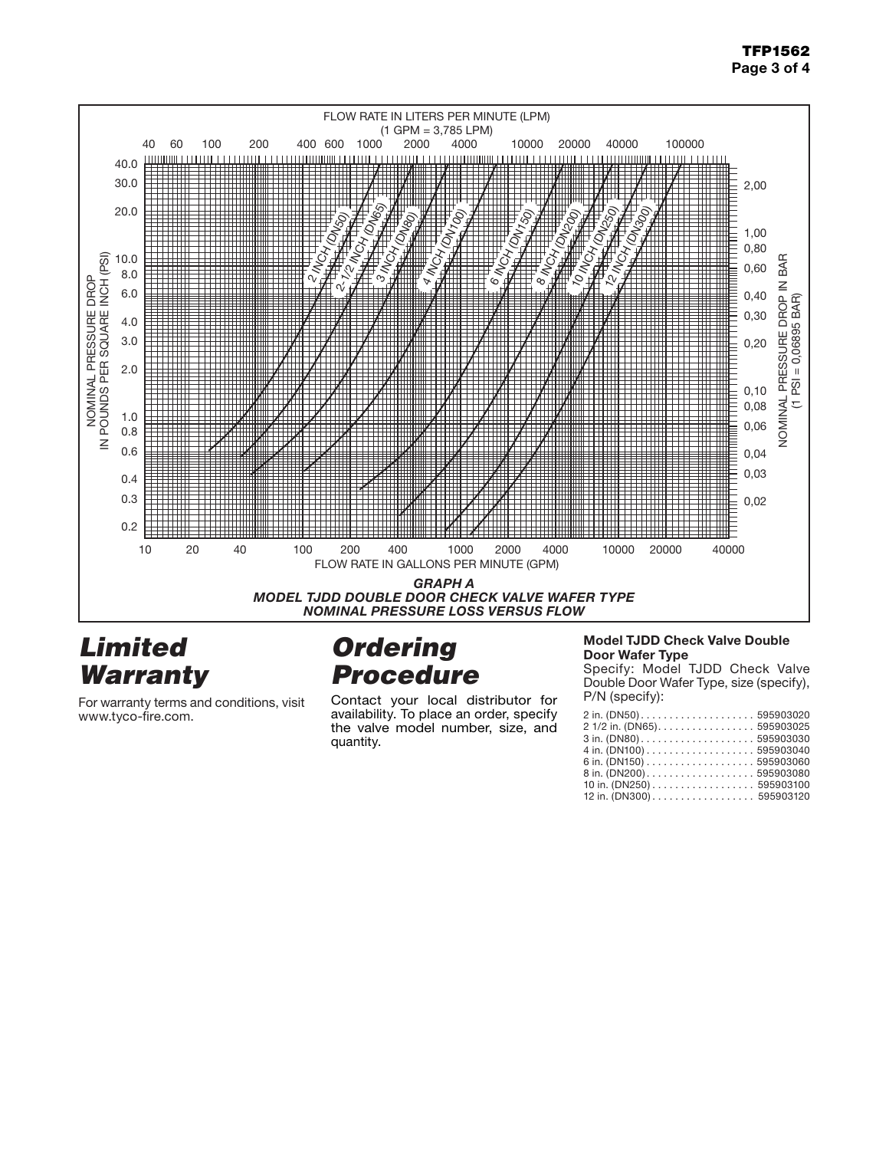### TFP1562 Page 3 of 4



## *Limited Warranty*

For warranty terms and conditions, visit www.tyco-fire.com.

# *Ordering Procedure*

Contact your local distributor for availability. To place an order, specify the valve model number, size, and quantity.

#### Model TJDD Check Valve Double Door Wafer Type

Specify: Model TJDD Check Valve Double Door Wafer Type, size (specify), P/N (specify):

| 2 in. (DN50) 595903020                                                     |  |
|----------------------------------------------------------------------------|--|
| 2 1/2 in. (DN65). 595903025                                                |  |
|                                                                            |  |
| 4 in. (DN100) $\ldots \ldots \ldots \ldots \ldots \ldots \ldots 595903040$ |  |
|                                                                            |  |
| 8 in. (DN200) 595903080                                                    |  |
|                                                                            |  |
| 12 in. (DN300) 595903120                                                   |  |